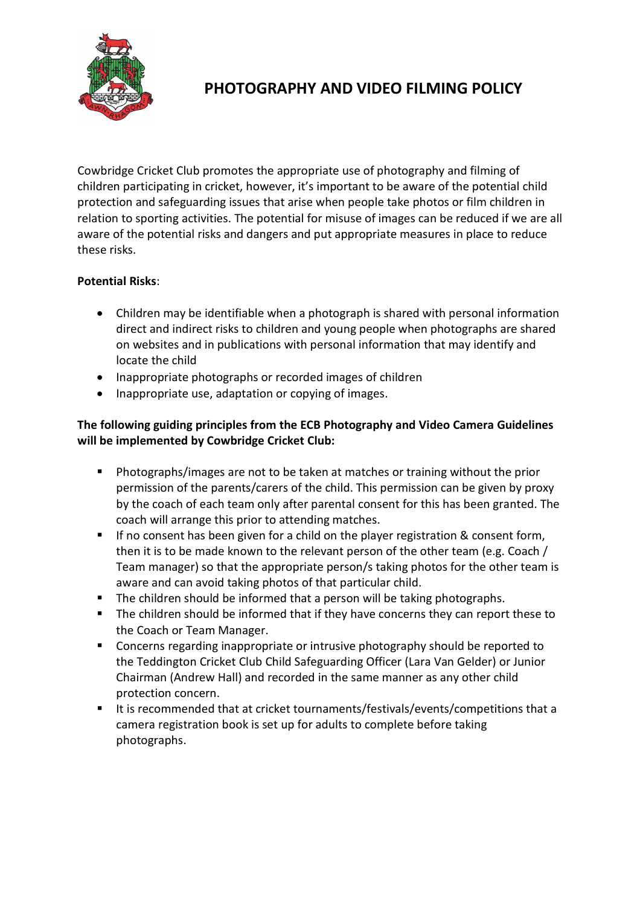

# **PHOTOGRAPHY AND VIDEO FILMING POLICY**

Cowbridge Cricket Club promotes the appropriate use of photography and filming of children participating in cricket, however, it's important to be aware of the potential child protection and safeguarding issues that arise when people take photos or film children in relation to sporting activities. The potential for misuse of images can be reduced if we are all aware of the potential risks and dangers and put appropriate measures in place to reduce these risks.

## **Potential Risks**:

- Children may be identifiable when a photograph is shared with personal information direct and indirect risks to children and young people when photographs are shared on websites and in publications with personal information that may identify and locate the child
- Inappropriate photographs or recorded images of children
- Inappropriate use, adaptation or copying of images.

# **The following guiding principles from the ECB Photography and Video Camera Guidelines will be implemented by Cowbridge Cricket Club:**

- Photographs/images are not to be taken at matches or training without the prior permission of the parents/carers of the child. This permission can be given by proxy by the coach of each team only after parental consent for this has been granted. The coach will arrange this prior to attending matches.
- If no consent has been given for a child on the player registration & consent form, then it is to be made known to the relevant person of the other team (e.g. Coach / Team manager) so that the appropriate person/s taking photos for the other team is aware and can avoid taking photos of that particular child.
- The children should be informed that a person will be taking photographs.
- The children should be informed that if they have concerns they can report these to the Coach or Team Manager.
- **EXP** Concerns regarding inappropriate or intrusive photography should be reported to the Teddington Cricket Club Child Safeguarding Officer (Lara Van Gelder) or Junior Chairman (Andrew Hall) and recorded in the same manner as any other child protection concern.
- It is recommended that at cricket tournaments/festivals/events/competitions that a camera registration book is set up for adults to complete before taking photographs.